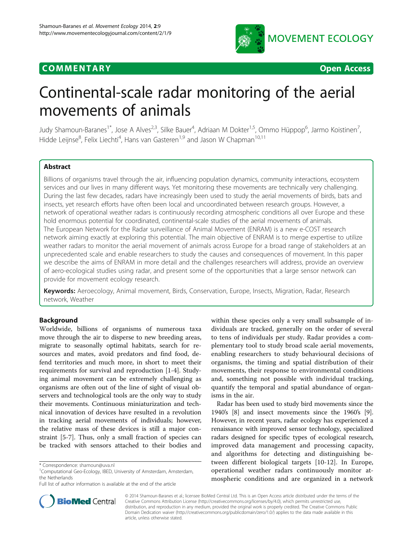

## **COMMENTARY COMMENTARY Open Access**



# Continental-scale radar monitoring of the aerial movements of animals

Judy Shamoun-Baranes<sup>1\*</sup>, Jose A Alves<sup>2,3</sup>, Silke Bauer<sup>4</sup>, Adriaan M Dokter<sup>1,5</sup>, Ommo Hüppop<sup>6</sup>, Jarmo Koistinen<sup>7</sup> , Hidde Leijnse<sup>8</sup>, Felix Liechti<sup>4</sup>, Hans van Gasteren<sup>1,9</sup> and Jason W Chapman<sup>10,11</sup>

## Abstract

Billions of organisms travel through the air, influencing population dynamics, community interactions, ecosystem services and our lives in many different ways. Yet monitoring these movements are technically very challenging. During the last few decades, radars have increasingly been used to study the aerial movements of birds, bats and insects, yet research efforts have often been local and uncoordinated between research groups. However, a network of operational weather radars is continuously recording atmospheric conditions all over Europe and these hold enormous potential for coordinated, continental-scale studies of the aerial movements of animals. The European Network for the Radar surveillance of Animal Movement (ENRAM) is a new e-COST research network aiming exactly at exploring this potential. The main objective of ENRAM is to merge expertise to utilize weather radars to monitor the aerial movement of animals across Europe for a broad range of stakeholders at an unprecedented scale and enable researchers to study the causes and consequences of movement. In this paper we describe the aims of ENRAM in more detail and the challenges researchers will address, provide an overview of aero-ecological studies using radar, and present some of the opportunities that a large sensor network can provide for movement ecology research.

Keywords: Aeroecology, Animal movement, Birds, Conservation, Europe, Insects, Migration, Radar, Research network, Weather

## Background

Worldwide, billions of organisms of numerous taxa move through the air to disperse to new breeding areas, migrate to seasonally optimal habitats, search for resources and mates, avoid predators and find food, defend territories and much more, in short to meet their requirements for survival and reproduction [[1-4](#page-4-0)]. Studying animal movement can be extremely challenging as organisms are often out of the line of sight of visual observers and technological tools are the only way to study their movements. Continuous miniaturization and technical innovation of devices have resulted in a revolution in tracking aerial movements of individuals; however, the relative mass of these devices is still a major constraint [\[5](#page-4-0)-[7\]](#page-4-0). Thus, only a small fraction of species can be tracked with sensors attached to their bodies and

within these species only a very small subsample of individuals are tracked, generally on the order of several to tens of individuals per study. Radar provides a complementary tool to study broad scale aerial movements, enabling researchers to study behavioural decisions of organisms, the timing and spatial distribution of their movements, their response to environmental conditions and, something not possible with individual tracking, quantify the temporal and spatial abundance of organisms in the air.

Radar has been used to study bird movements since the 1940's [[8](#page-4-0)] and insect movements since the 1960's [[9](#page-4-0)]. However, in recent years, radar ecology has experienced a renaissance with improved sensor technology, specialized radars designed for specific types of ecological research, improved data management and processing capacity, and algorithms for detecting and distinguishing between different biological targets [[10-](#page-4-0)[12](#page-5-0)]. In Europe, operational weather radars continuously monitor atmospheric conditions and are organized in a network



© 2014 Shamoun-Baranes et al.; licensee BioMed Central Ltd. This is an Open Access article distributed under the terms of the Creative Commons Attribution License (<http://creativecommons.org/licenses/by/4.0>), which permits unrestricted use, distribution, and reproduction in any medium, provided the original work is properly credited. The Creative Commons Public Domain Dedication waiver [\(http://creativecommons.org/publicdomain/zero/1.0/\)](http://creativecommons.org/publicdomain/zero/1.0/) applies to the data made available in this article, unless otherwise stated.

<sup>\*</sup> Correspondence: [shamoun@uva.nl](mailto:shamoun@uva.nl) <sup>1</sup>

<sup>&</sup>lt;sup>1</sup>Computational Geo-Ecology, IBED, University of Amsterdam, Amsterdam, the Netherlands

Full list of author information is available at the end of the article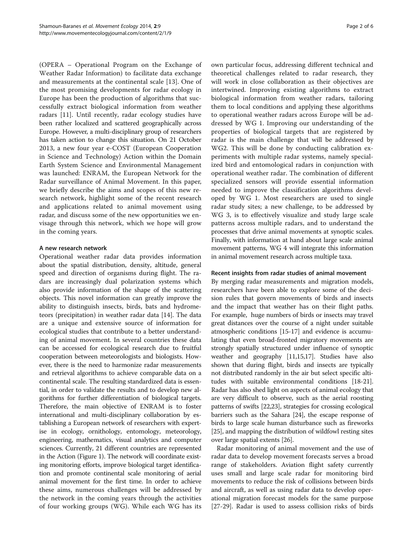(OPERA – Operational Program on the Exchange of Weather Radar Information) to facilitate data exchange and measurements at the continental scale [[13\]](#page-5-0). One of the most promising developments for radar ecology in Europe has been the production of algorithms that successfully extract biological information from weather radars [\[11](#page-5-0)]. Until recently, radar ecology studies have been rather localized and scattered geographically across Europe. However, a multi-disciplinary group of researchers has taken action to change this situation. On 21 October 2013, a new four year e-COST (European Cooperation in Science and Technology) Action within the Domain Earth System Science and Environmental Management was launched: ENRAM, the European Network for the Radar surveillance of Animal Movement. In this paper, we briefly describe the aims and scopes of this new research network, highlight some of the recent research and applications related to animal movement using radar, and discuss some of the new opportunities we envisage through this network, which we hope will grow in the coming years.

## A new research network

Operational weather radar data provides information about the spatial distribution, density, altitude, general speed and direction of organisms during flight. The radars are increasingly dual polarization systems which also provide information of the shape of the scattering objects. This novel information can greatly improve the ability to distinguish insects, birds, bats and hydrometeors (precipitation) in weather radar data [[14\]](#page-5-0). The data are a unique and extensive source of information for ecological studies that contribute to a better understanding of animal movement. In several countries these data can be accessed for ecological research due to fruitful cooperation between meteorologists and biologists. However, there is the need to harmonize radar measurements and retrieval algorithms to achieve comparable data on a continental scale. The resulting standardized data is essential, in order to validate the results and to develop new algorithms for further differentiation of biological targets. Therefore, the main objective of ENRAM is to foster international and multi-disciplinary collaboration by establishing a European network of researchers with expertise in ecology, ornithology, entomology, meteorology, engineering, mathematics, visual analytics and computer sciences. Currently, 21 different countries are represented in the Action (Figure [1\)](#page-2-0). The network will coordinate existing monitoring efforts, improve biological target identification and promote continental scale monitoring of aerial animal movement for the first time. In order to achieve these aims, numerous challenges will be addressed by the network in the coming years through the activities of four working groups (WG). While each WG has its

own particular focus, addressing different technical and theoretical challenges related to radar research, they will work in close collaboration as their objectives are intertwined. Improving existing algorithms to extract biological information from weather radars, tailoring them to local conditions and applying these algorithms to operational weather radars across Europe will be addressed by WG 1. Improving our understanding of the properties of biological targets that are registered by radar is the main challenge that will be addressed by WG2. This will be done by conducting calibration experiments with multiple radar systems, namely specialized bird and entomological radars in conjunction with operational weather radar. The combination of different specialized sensors will provide essential information needed to improve the classification algorithms developed by WG 1. Most researchers are used to single radar study sites; a new challenge, to be addressed by WG 3, is to effectively visualize and study large scale patterns across multiple radars, and to understand the processes that drive animal movements at synoptic scales. Finally, with information at hand about large scale animal movement patterns, WG 4 will integrate this information in animal movement research across multiple taxa.

## Recent insights from radar studies of animal movement

By merging radar measurements and migration models, researchers have been able to explore some of the decision rules that govern movements of birds and insects and the impact that weather has on their flight paths. For example, huge numbers of birds or insects may travel great distances over the course of a night under suitable atmospheric conditions [[15](#page-5-0)-[17](#page-5-0)] and evidence is accumulating that even broad-fronted migratory movements are strongly spatially structured under influence of synoptic weather and geography [[11,15,17\]](#page-5-0). Studies have also shown that during flight, birds and insects are typically not distributed randomly in the air but select specific altitudes with suitable environmental conditions [[18](#page-5-0)-[21](#page-5-0)]. Radar has also shed light on aspects of animal ecology that are very difficult to observe, such as the aerial roosting patterns of swifts [[22,23\]](#page-5-0), strategies for crossing ecological barriers such as the Sahara [\[24\]](#page-5-0), the escape response of birds to large scale human disturbance such as fireworks [[25](#page-5-0)], and mapping the distribution of wildfowl resting sites over large spatial extents [\[26\]](#page-5-0).

Radar monitoring of animal movement and the use of radar data to develop movement forecasts serves a broad range of stakeholders. Aviation flight safety currently uses small and large scale radar for monitoring bird movements to reduce the risk of collisions between birds and aircraft, as well as using radar data to develop operational migration forecast models for the same purpose [[27-29](#page-5-0)]. Radar is used to assess collision risks of birds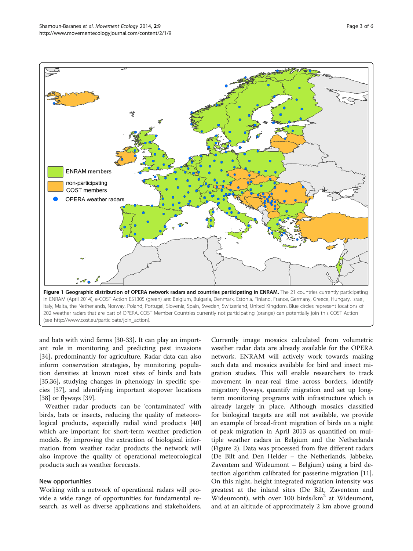<span id="page-2-0"></span>

and bats with wind farms [[30-33](#page-5-0)]. It can play an important role in monitoring and predicting pest invasions [[34\]](#page-5-0), predominantly for agriculture. Radar data can also inform conservation strategies, by monitoring population densities at known roost sites of birds and bats [[35,36\]](#page-5-0), studying changes in phenology in specific species [[37\]](#page-5-0), and identifying important stopover locations [[38\]](#page-5-0) or flyways [[39\]](#page-5-0).

Weather radar products can be 'contaminated' with birds, bats or insects, reducing the quality of meteorological products, especially radial wind products [[40](#page-5-0)] which are important for short-term weather prediction models. By improving the extraction of biological information from weather radar products the network will also improve the quality of operational meteorological products such as weather forecasts.

### New opportunities

Working with a network of operational radars will provide a wide range of opportunities for fundamental research, as well as diverse applications and stakeholders. Currently image mosaics calculated from volumetric weather radar data are already available for the OPERA network. ENRAM will actively work towards making such data and mosaics available for bird and insect migration studies. This will enable researchers to track movement in near-real time across borders, identify migratory flyways, quantify migration and set up longterm monitoring programs with infrastructure which is already largely in place. Although mosaics classified for biological targets are still not available, we provide an example of broad-front migration of birds on a night of peak migration in April 2013 as quantified on multiple weather radars in Belgium and the Netherlands (Figure [2\)](#page-3-0). Data was processed from five different radars (De Bilt and Den Helder – the Netherlands, Jabbeke, Zaventem and Wideumont – Belgium) using a bird detection algorithm calibrated for passerine migration [\[11](#page-5-0)]. On this night, height integrated migration intensity was greatest at the inland sites (De Bilt, Zaventem and Wideumont), with over 100 birds/ $km<sup>2</sup>$  at Wideumont, and at an altitude of approximately 2 km above ground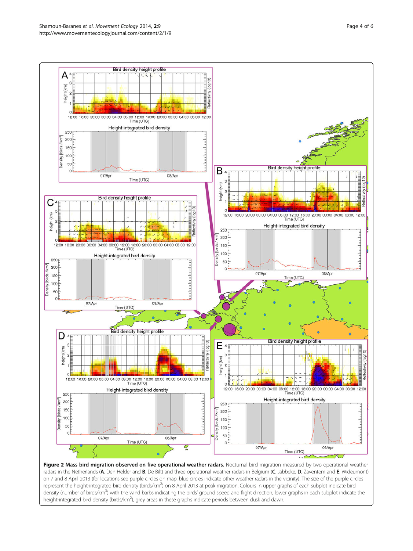<span id="page-3-0"></span>

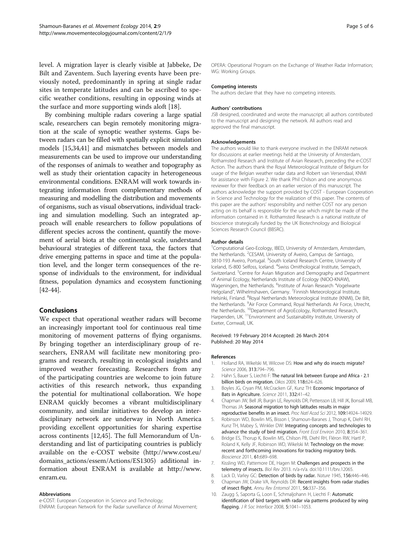<span id="page-4-0"></span>level. A migration layer is clearly visible at Jabbeke, De Bilt and Zaventem. Such layering events have been previously noted, predominantly in spring at single radar sites in temperate latitudes and can be ascribed to specific weather conditions, resulting in opposing winds at the surface and more supporting winds aloft [[18](#page-5-0)].

By combining multiple radars covering a large spatial scale, researchers can begin remotely monitoring migration at the scale of synoptic weather systems. Gaps between radars can be filled with spatially explicit simulation models [\[15,34,41](#page-5-0)] and mismatches between models and measurements can be used to improve our understanding of the responses of animals to weather and topography as well as study their orientation capacity in heterogeneous environmental conditions. ENRAM will work towards integrating information from complementary methods of measuring and modelling the distribution and movements of organisms, such as visual observations, individual tracking and simulation modelling. Such an integrated approach will enable researchers to follow populations of different species across the continent, quantify the movement of aerial biota at the continental scale, understand behavioural strategies of different taxa, the factors that drive emerging patterns in space and time at the population level, and the longer term consequences of the response of individuals to the environment, for individual fitness, population dynamics and ecosystem functioning [[42](#page-5-0)-[44\]](#page-5-0).

## Conclusions

We expect that operational weather radars will become an increasingly important tool for continuous real time monitoring of movement patterns of flying organisms. By bringing together an interdisciplinary group of researchers, ENRAM will facilitate new monitoring programs and research, resulting in ecological insights and improved weather forecasting. Researchers from any of the participating countries are welcome to join future activities of this research network, thus expanding the potential for multinational collaboration. We hope ENRAM quickly becomes a vibrant multidisciplinary community, and similar initiatives to develop an interdisciplinary network are underway in North America providing excellent opportunities for sharing expertise across continents [[12,45](#page-5-0)]. The full Memorandum of Understanding and list of participating countries is publicly available on the e-COST website ([http://www.cost.eu/](http://www.cost.eu/domains_actions/essem/Actions/ES1305) [domains\\_actions/essem/Actions/ES1305\)](http://www.cost.eu/domains_actions/essem/Actions/ES1305) additional information about ENRAM is available at [http://www.](http://www.enram.eu) [enram.eu.](http://www.enram.eu)

#### Abbreviations

e-COST: European Cooperation in Science and Technology;

ENRAM: European Network for the Radar surveillance of Animal Movement;

OPERA: Operational Program on the Exchange of Weather Radar Information; WG: Working Groups.

#### Competing interests

The authors declare that they have no competing interests.

#### Authors' contributions

JSB designed, coordinated and wrote the manuscript; all authors contributed to the manuscript and designing the network. All authors read and approved the final manuscript.

#### Acknowledgements

The authors would like to thank everyone involved in the ENRAM network for discussions at earlier meetings held at the University of Amsterdam, Rothamsted Research and Institute of Avian Research, preceding the e-COST Action. The authors thank the Royal Meteorological Institute of Belgium for usage of the Belgian weather radar data and Robert van Versendaal, KNMI for assistance with Figure [2](#page-3-0). We thank Phil Chilson and one anonymous reviewer for their feedback on an earlier version of this manuscript. The authors acknowledge the support provided by COST - European Cooperation in Science and Technology for the realization of this paper. The contents of this paper are the authors' responsibility and neither COST nor any person acting on its behalf is responsible for the use which might be made of the information contained in it. Rothamsted Research is a national institute of bioscience strategically funded by the UK Biotechnology and Biological Sciences Research Council (BBSRC).

#### Author details

<sup>1</sup> Computational Geo-Ecology, IBED, University of Amsterdam, Amsterdam, the Netherlands. <sup>2</sup>CESAM, University of Aveiro, Campus de Santiago 3810-193 Aveiro, Portugal. <sup>3</sup>South Iceland Research Centre, University of Iceland, IS-800 Selfoss, Iceland. <sup>4</sup>Swiss Ornithological Institute, Sempach Switzerland. <sup>5</sup>Centre for Avian Migration and Demography and Department of Animal Ecology, Netherlands Institute of Ecology (NIOO-KNAW), Wageningen, the Netherlands. <sup>6</sup>Institute of Avian Research "Vogelwarte Helgoland", Wilhelmshaven, Germany. <sup>7</sup>Finnish Meteorological Institute, Helsinki, Finland. <sup>8</sup> Royal Netherlands Meteorological Institute (KNMI), De Bilt the Netherlands. <sup>9</sup> Air Force Command, Royal Netherlands Air Force, Utrecht, the Netherlands. <sup>10</sup>Department of AgroEcology, Rothamsted Research, Harpenden, UK.<sup>11</sup>Environment and Sustainability Institute, University of Exeter, Cornwall, UK.

#### Received: 19 February 2014 Accepted: 26 March 2014 Published: 20 May 2014

#### References

- 1. Holland RA, Wikelski M, Wilcove DS: How and why do insects migrate? Science 2006, 313:794–796.
- 2. Hahn S, Bauer S, Liechti F: The natural link between Europe and Africa 2.1 billion birds on migration. Oikos 2009, 118:624–626.
- 3. Boyles JG, Cryan PM, McCracken GF, Kunz TH: Economic Importance of Bats in Agriculture. Science 2011, 332:41–42.
- 4. Chapman JW, Bell JR, Burgin LE, Reynolds DR, Pettersson LB, Hill JK, Bonsall MB, Thomas JA: Seasonal migration to high latitudes results in major reproductive benefits in an insect. Proc Natl Acad Sci 2012, 109:14924–14929.
- 5. Robinson WD, Bowlin MS, Bisson I, Shamoun-Baranes J, Thorup K, Diehl RH, Kunz TH, Mabey S, Winkler DW: Integrating concepts and technologies to advance the study of bird migration. Front Ecol Environ 2010, 8:354–361.
- 6. Bridge ES, Thorup K, Bowlin MS, Chilson PB, Diehl RH, Fléron RW, Hartl P, Roland K, Kelly JF, Robinson WD, Wikelski M: Technology on the move: recent and forthcoming innovations for tracking migratory birds. Bioscience 2011, 61:689–698.
- 7. Kissling WD, Pattemore DE, Hagen M: Challenges and prospects in the telemetry of insects. Biol Rev 2013. n/a-n/a. doi:10.1111/brv.12065.
- 8. Lack D, Varley GC: Detection of birds by radar. Nature 1945, 156:446-446.
- 9. Chapman JW, Drake VA, Reynolds DR: Recent insights from radar studies of insect flight. Annu Rev Entomol 2011, 56:337–356.
- 10. Zaugg S, Saporta G, Loon E, Schmaljohann H, Liechti F: Automatic identification of bird targets with radar via patterns produced by wing flapping. *J R Soc Interface* 2008, 5:1041-1053.